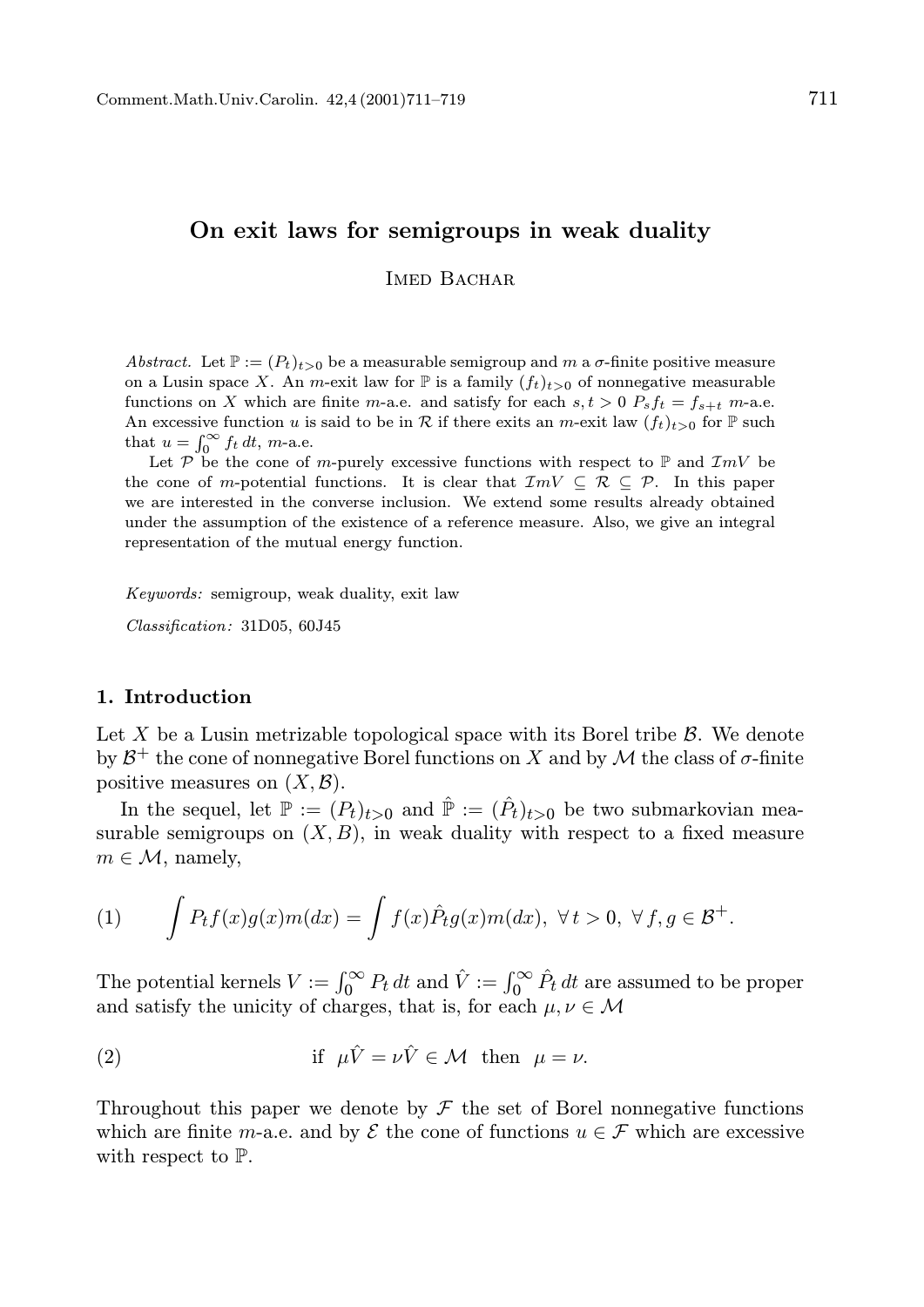# On exit laws for semigroups in weak duality

IMED BACHAR

Abstract. Let  $\mathbb{P} := (P_t)_{t>0}$  be a measurable semigroup and m a  $\sigma$ -finite positive measure on a Lusin space X. An m-exit law for  $\mathbb P$  is a family  $(f_t)_{t>0}$  of nonnegative measurable functions on X which are finite m-a.e. and satisfy for each  $s, t > 0$   $P_s f_t = f_{s+t}$  m-a.e. An excessive function u is said to be in R if there exits an m-exit law  $(f_t)_{t>0}$  for  $\mathbb P$  such that  $u = \int_0^\infty f_t dt$ , *m*-a.e.

Let P be the cone of m-purely excessive functions with respect to  $\mathbb P$  and  $\mathcal{I}mV$  be the cone of m-potential functions. It is clear that  $\mathcal{I}mV \subseteq \mathcal{R} \subseteq \mathcal{P}$ . In this paper we are interested in the converse inclusion. We extend some results already obtained under the assumption of the existence of a reference measure. Also, we give an integral representation of the mutual energy function.

Keywords: semigroup, weak duality, exit law

Classification: 31D05, 60J45

## 1. Introduction

Let X be a Lusin metrizable topological space with its Borel tribe  $\beta$ . We denote by  $\mathcal{B}^+$  the cone of nonnegative Borel functions on X and by  $\mathcal M$  the class of  $\sigma$ -finite positive measures on  $(X, \mathcal{B})$ .

In the sequel, let  $\mathbb{P} := (P_t)_{t>0}$  and  $\hat{\mathbb{P}} := (\hat{P}_t)_{t>0}$  be two submarkovian measurable semigroups on  $(X, B)$ , in weak duality with respect to a fixed measure  $m \in \mathcal{M}$ , namely,

(1) 
$$
\int P_t f(x)g(x)m(dx) = \int f(x)\hat{P}_t g(x)m(dx), \ \forall t > 0, \ \forall f, g \in \mathcal{B}^+.
$$

The potential kernels  $V := \int_0^\infty P_t dt$  and  $\hat{V} := \int_0^\infty \hat{P}_t dt$  are assumed to be proper and satisfy the unicity of charges, that is, for each  $\mu, \nu \in \mathcal{M}$ 

(2) if 
$$
\mu \hat{V} = \nu \hat{V} \in \mathcal{M}
$$
 then  $\mu = \nu$ .

Throughout this paper we denote by  $\mathcal F$  the set of Borel nonnegative functions which are finite m-a.e. and by  $\mathcal E$  the cone of functions  $u \in \mathcal F$  which are excessive with respect to P.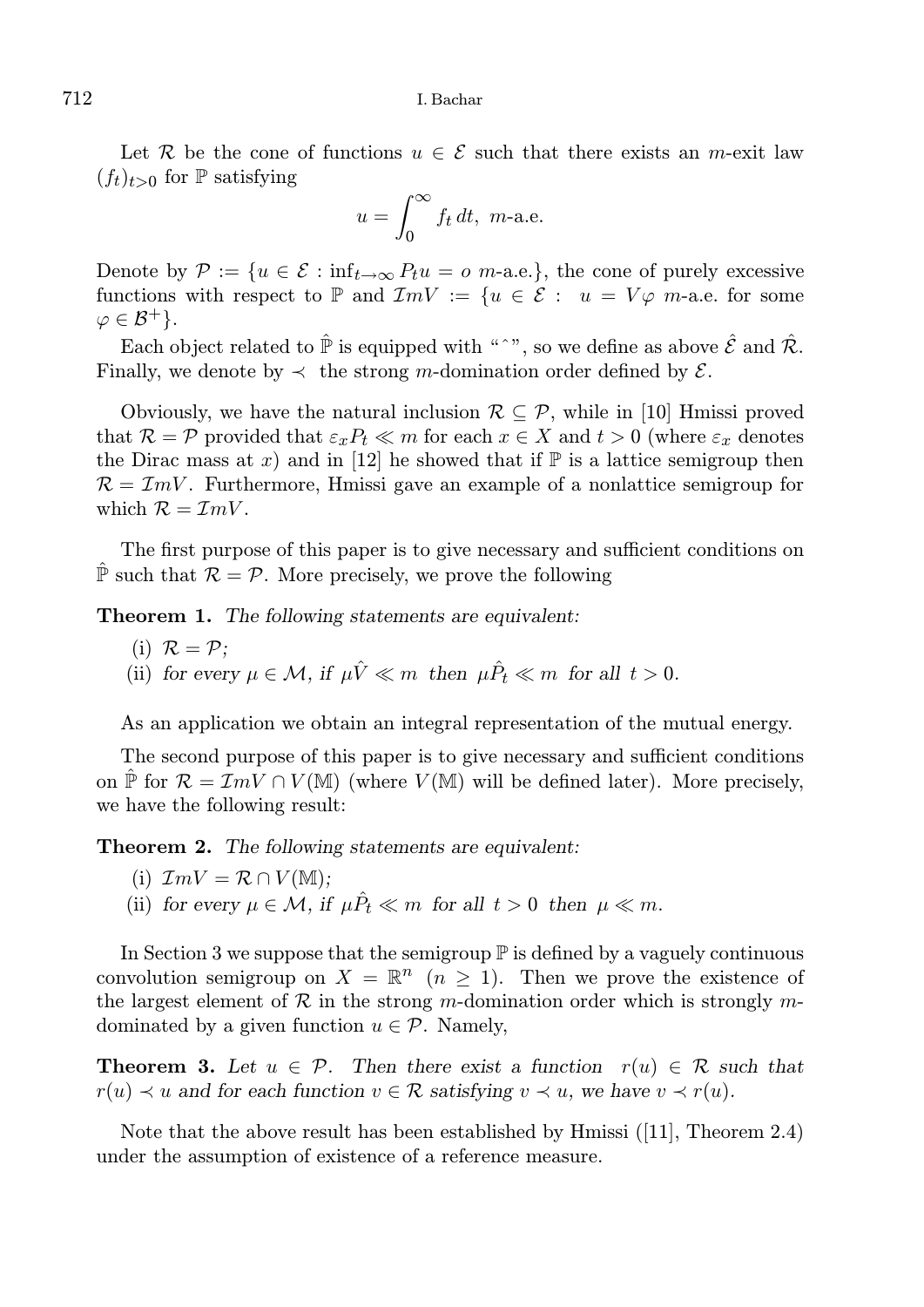Let R be the cone of functions  $u \in \mathcal{E}$  such that there exists an m-exit law  $(f_t)_{t>0}$  for  $\mathbb P$  satisfying

$$
u = \int_0^\infty f_t \, dt, \ m\text{-a.e.}
$$

Denote by  $\mathcal{P} := \{u \in \mathcal{E} : \inf_{t \to \infty} P_t u = o \text{ } m$ -a.e., the cone of purely excessive functions with respect to P and  $\mathcal{I}mV := \{u \in \mathcal{E} : u = V\varphi \text{ } m\text{-a.e. for some }$  $\varphi \in \mathcal{B}^+$ .

Each object related to  $\hat{P}$  is equipped with "^", so we define as above  $\hat{\mathcal{E}}$  and  $\hat{\mathcal{R}}$ . Finally, we denote by  $\prec$  the strong m-domination order defined by  $\mathcal{E}$ .

Obviously, we have the natural inclusion  $\mathcal{R} \subset \mathcal{P}$ , while in [10] Hmissi proved that  $\mathcal{R} = \mathcal{P}$  provided that  $\varepsilon_x P_t \ll m$  for each  $x \in X$  and  $t > 0$  (where  $\varepsilon_x$  denotes the Dirac mass at x) and in [12] he showed that if  $\mathbb{P}$  is a lattice semigroup then  $\mathcal{R} = \mathcal{I}mV$ . Furthermore, Hmissi gave an example of a nonlattice semigroup for which  $\mathcal{R} = \mathcal{I}mV$ .

The first purpose of this paper is to give necessary and sufficient conditions on  $\mathbb{\hat{P}}$  such that  $\mathcal{R} = \mathcal{P}$ . More precisely, we prove the following

Theorem 1. The following statements are equivalent:

\n- (i) 
$$
\mathcal{R} = \mathcal{P}
$$
;
\n- (ii) for every  $\mu \in \mathcal{M}$ , if  $\mu \hat{V} \ll m$  then  $\mu \hat{P}_t \ll m$  for all  $t > 0$ .
\n

As an application we obtain an integral representation of the mutual energy.

The second purpose of this paper is to give necessary and sufficient conditions on  $\hat{\mathbb{P}}$  for  $\mathcal{R} = \mathcal{I}mV \cap V(\mathbb{M})$  (where  $V(\mathbb{M})$  will be defined later). More precisely, we have the following result:

Theorem 2. The following statements are equivalent:

- (i)  $\mathcal{I}mV = \mathcal{R} \cap V(\mathbb{M});$
- (ii) for every  $\mu \in \mathcal{M}$ , if  $\mu \hat{P}_t \ll m$  for all  $t > 0$  then  $\mu \ll m$ .

In Section 3 we suppose that the semigroup  $\mathbb P$  is defined by a vaguely continuous convolution semigroup on  $X = \mathbb{R}^n$   $(n \geq 1)$ . Then we prove the existence of the largest element of  $\mathcal R$  in the strong m-domination order which is strongly mdominated by a given function  $u \in \mathcal{P}$ . Namely,

**Theorem 3.** Let  $u \in \mathcal{P}$ . Then there exist a function  $r(u) \in \mathcal{R}$  such that  $r(u) \prec u$  and for each function  $v \in \mathcal{R}$  satisfying  $v \prec u$ , we have  $v \prec r(u)$ .

Note that the above result has been established by Hmissi ([11], Theorem 2.4) under the assumption of existence of a reference measure.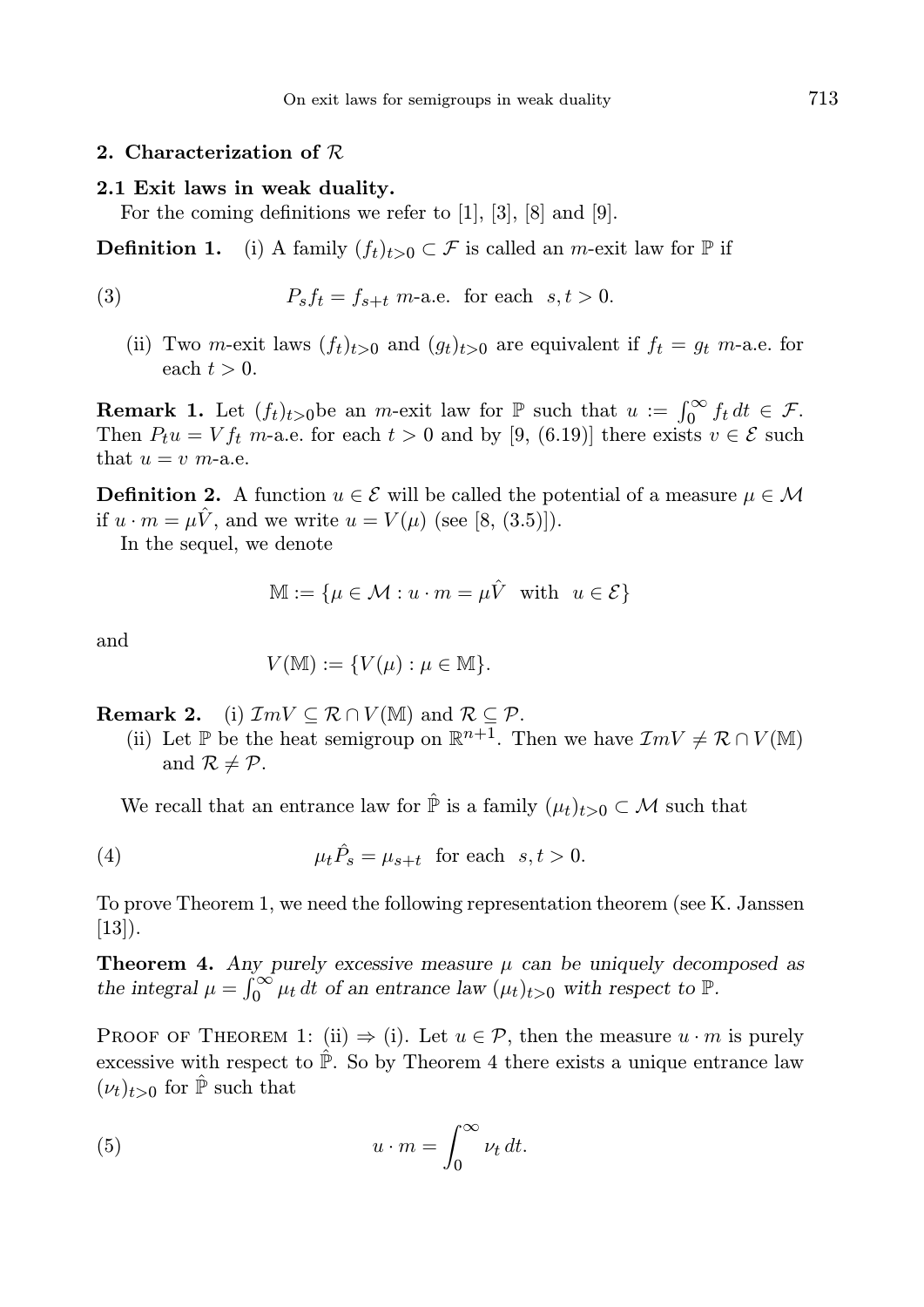### 2. Characterization of R

#### 2.1 Exit laws in weak duality.

For the coming definitions we refer to [1], [3], [8] and [9].

**Definition 1.** (i) A family  $(f_t)_{t>0} \subset \mathcal{F}$  is called an *m*-exit law for  $\mathbb{P}$  if

(3) 
$$
P_s f_t = f_{s+t} \text{ m-a.e. for each } s, t > 0.
$$

(ii) Two m-exit laws  $(f_t)_{t>0}$  and  $(g_t)_{t>0}$  are equivalent if  $f_t = g_t$  m-a.e. for each  $t > 0$ .

**Remark 1.** Let  $(f_t)_{t>0}$  be an *m*-exit law for  $\mathbb P$  such that  $u := \int_0^\infty f_t dt \in \mathcal F$ . Then  $P_t u = V f_t$  m-a.e. for each  $t > 0$  and by [9, (6.19)] there exists  $v \in \mathcal{E}$  such that  $u = v$  m-a.e.

**Definition 2.** A function  $u \in \mathcal{E}$  will be called the potential of a measure  $\mu \in \mathcal{M}$ if  $u \cdot m = \mu V$ , and we write  $u = V(\mu)$  (see [8, (3.5)]).

In the sequel, we denote

$$
\mathbb{M} := \{ \mu \in \mathcal{M} : u \cdot m = \mu \hat{V} \text{ with } u \in \mathcal{E} \}
$$

and

$$
V(\mathbb{M}) := \{ V(\mu) : \mu \in \mathbb{M} \}.
$$

**Remark 2.** (i)  $\mathcal{I}mV \subseteq \mathcal{R} \cap V(\mathbb{M})$  and  $\mathcal{R} \subseteq \mathcal{P}$ .

(ii) Let P be the heat semigroup on  $\mathbb{R}^{n+1}$ . Then we have  $\mathcal{I}mV \neq \mathcal{R} \cap V(\mathbb{M})$ and  $\mathcal{R} \neq \mathcal{P}$ .

We recall that an entrance law for  $\hat{P}$  is a family  $(\mu_t)_{t>0} \subset \mathcal{M}$  such that

(4) 
$$
\mu_t \hat{P}_s = \mu_{s+t} \text{ for each } s, t > 0.
$$

To prove Theorem 1, we need the following representation theorem (see K. Janssen [13]).

**Theorem 4.** Any purely excessive measure  $\mu$  can be uniquely decomposed as the integral  $\mu = \int_0^\infty \mu_t dt$  of an entrance law  $(\mu_t)_{t>0}$  with respect to  $\mathbb{P}$ .

PROOF OF THEOREM 1: (ii)  $\Rightarrow$  (i). Let  $u \in \mathcal{P}$ , then the measure  $u \cdot m$  is purely excessive with respect to  $\hat{P}$ . So by Theorem 4 there exists a unique entrance law  $(\nu_t)_{t>0}$  for  $\hat{\mathbb{P}}$  such that

(5) 
$$
u \cdot m = \int_0^\infty \nu_t \, dt.
$$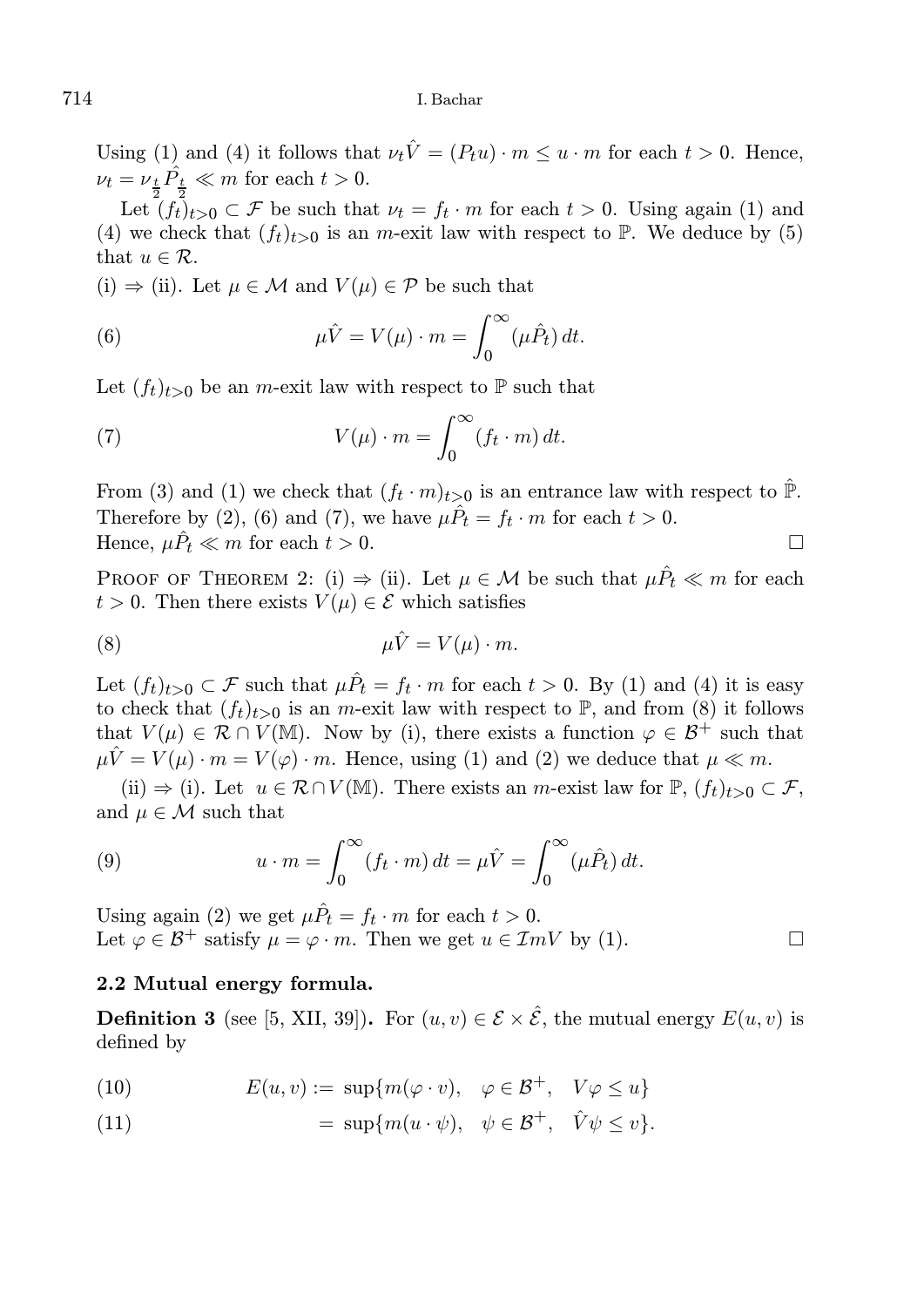Using (1) and (4) it follows that  $\nu_t\hat{V} = (P_t u) \cdot m \leq u \cdot m$  for each  $t > 0$ . Hence,  $\nu_t = \nu_{\frac{t}{2}} \hat{P}_{\frac{t}{2}} \ll m$  for each  $t > 0$ .

Let  $(f_t)_{t>0} \subset \mathcal{F}$  be such that  $\nu_t = f_t \cdot m$  for each  $t > 0$ . Using again (1) and (4) we check that  $(f_t)_{t>0}$  is an m-exit law with respect to  $\mathbb P$ . We deduce by (5) that  $u \in \mathcal{R}$ .

(i)  $\Rightarrow$  (ii). Let  $\mu \in \mathcal{M}$  and  $V(\mu) \in \mathcal{P}$  be such that

(6) 
$$
\mu \hat{V} = V(\mu) \cdot m = \int_0^\infty (\mu \hat{P}_t) dt.
$$

Let  $(f_t)_{t>0}$  be an *m*-exit law with respect to P such that

(7) 
$$
V(\mu) \cdot m = \int_0^\infty (f_t \cdot m) dt.
$$

From (3) and (1) we check that  $(f_t \cdot m)_{t>0}$  is an entrance law with respect to  $\hat{P}$ . Therefore by (2), (6) and (7), we have  $\mu \hat{P}_t = f_t \cdot m$  for each  $t > 0$ . Hence,  $\mu \hat{P}_t \ll m$  for each  $t > 0$ .

PROOF OF THEOREM 2: (i)  $\Rightarrow$  (ii). Let  $\mu \in \mathcal{M}$  be such that  $\mu \hat{P}_t \ll m$  for each  $t > 0$ . Then there exists  $V(\mu) \in \mathcal{E}$  which satisfies

$$
\mu \hat{V} = V(\mu) \cdot m.
$$

Let  $(f_t)_{t>0} \subset \mathcal{F}$  such that  $\mu \hat{P}_t = f_t \cdot m$  for each  $t > 0$ . By (1) and (4) it is easy to check that  $(f_t)_{t>0}$  is an m-exit law with respect to  $\mathbb{P}$ , and from (8) it follows that  $V(\mu) \in \mathcal{R} \cap V(\mathbb{M})$ . Now by (i), there exists a function  $\varphi \in \mathcal{B}^+$  such that  $\mu \hat{V} = V(\mu) \cdot m = V(\varphi) \cdot m$ . Hence, using (1) and (2) we deduce that  $\mu \ll m$ .

(ii)  $\Rightarrow$  (i). Let  $u \in \mathcal{R} \cap V(\mathbb{M})$ . There exists an *m*-exist law for  $\mathbb{P}, (f_t)_{t>0} \subset \mathcal{F}$ , and  $\mu \in \mathcal{M}$  such that

(9) 
$$
u \cdot m = \int_0^\infty (f_t \cdot m) dt = \mu \hat{V} = \int_0^\infty (\mu \hat{P}_t) dt.
$$

Using again (2) we get  $\mu \hat{P}_t = f_t \cdot m$  for each  $t > 0$ . Let  $\varphi \in \mathcal{B}^+$  satisfy  $\mu = \varphi \cdot m$ . Then we get  $u \in \mathcal{I}mV$  by (1).

## 2.2 Mutual energy formula.

**Definition 3** (see [5, XII, 39]). For  $(u, v) \in \mathcal{E} \times \hat{\mathcal{E}}$ , the mutual energy  $E(u, v)$  is defined by

(10) 
$$
E(u, v) := \sup \{ m(\varphi \cdot v), \varphi \in \mathcal{B}^+, V\varphi \le u \}
$$

(11) 
$$
= \sup \{ m(u \cdot \psi), \psi \in \mathcal{B}^+, \hat{V} \psi \leq v \}.
$$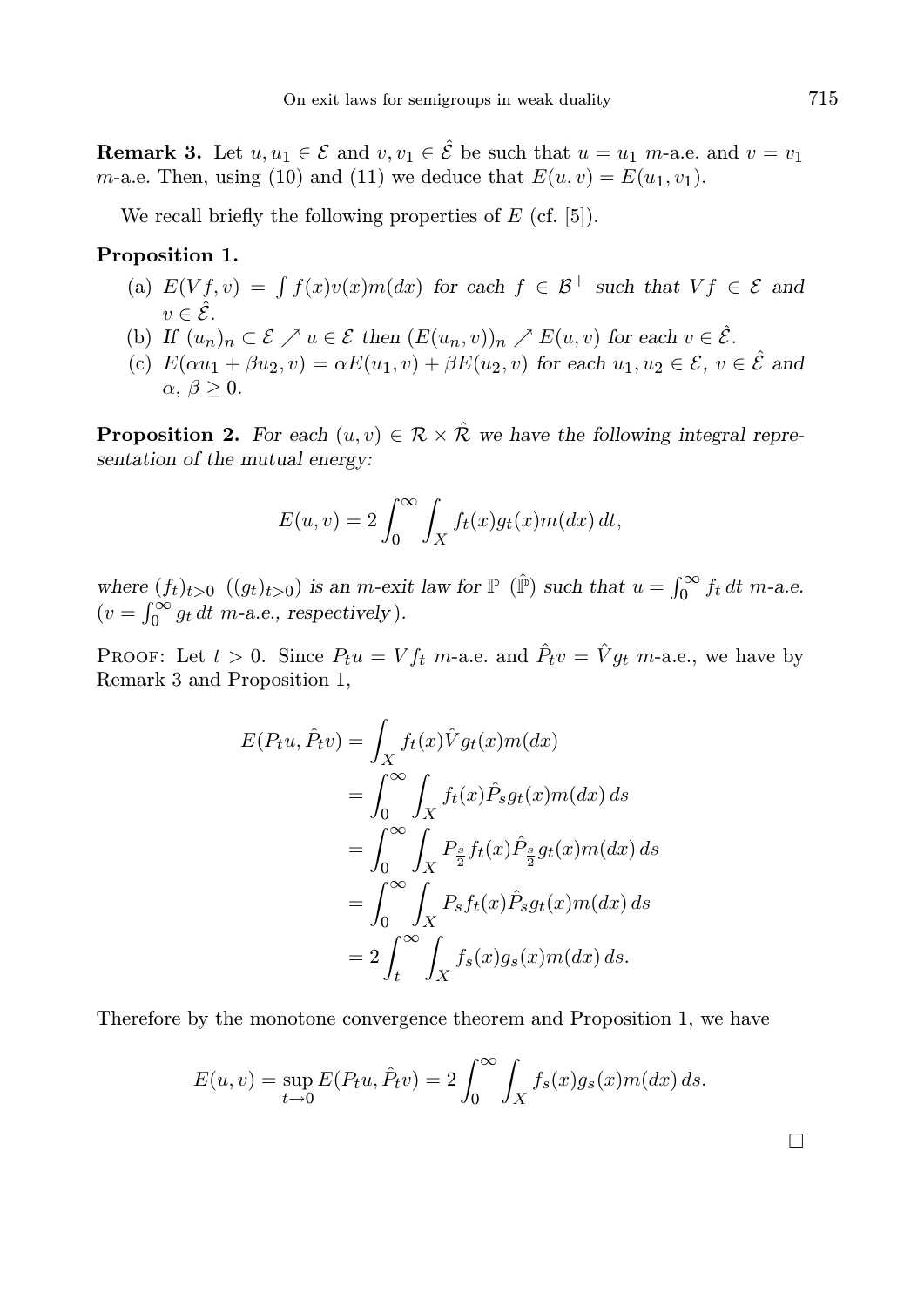**Remark 3.** Let  $u, u_1 \in \mathcal{E}$  and  $v, v_1 \in \hat{\mathcal{E}}$  be such that  $u = u_1$  m-a.e. and  $v = v_1$ m-a.e. Then, using (10) and (11) we deduce that  $E(u, v) = E(u_1, v_1)$ .

We recall briefly the following properties of  $E$  (cf. [5]).

### Proposition 1.

- (a)  $E(Vf, v) = \int f(x)v(x)m(dx)$  for each  $f \in \mathcal{B}^+$  such that  $Vf \in \mathcal{E}$  and  $v \in \hat{\mathcal{E}}$
- (b) If  $(u_n)_n \subset \mathcal{E} \nearrow u \in \mathcal{E}$  then  $(E(u_n, v))_n \nearrow E(u, v)$  for each  $v \in \hat{\mathcal{E}}$ .
- (c)  $E(\alpha u_1 + \beta u_2, v) = \alpha E(u_1, v) + \beta E(u_2, v)$  for each  $u_1, u_2 \in \mathcal{E}$ ,  $v \in \hat{\mathcal{E}}$  and  $\alpha, \beta \geq 0.$

**Proposition 2.** For each  $(u, v) \in \mathcal{R} \times \hat{\mathcal{R}}$  we have the following integral representation of the mutual energy:

$$
E(u, v) = 2 \int_0^{\infty} \int_X f_t(x) g_t(x) m(dx) dt,
$$

where  $(f_t)_{t>0}$   $((g_t)_{t>0})$  is an *m*-exit law for  $\mathbb P$  ( $\hat{\mathbb P}$ ) such that  $u = \int_0^\infty f_t dt$  *m*-a.e.  $(v = \int_0^\infty g_t dt \ m$ -a.e., respectively).

PROOF: Let  $t > 0$ . Since  $P_t u = V f_t$  m-a.e. and  $\hat{P}_t v = \hat{V} g_t$  m-a.e., we have by Remark 3 and Proposition 1,

$$
E(P_t u, \hat{P}_t v) = \int_X f_t(x) \hat{V} g_t(x) m(dx)
$$
  
= 
$$
\int_0^\infty \int_X f_t(x) \hat{P}_s g_t(x) m(dx) ds
$$
  
= 
$$
\int_0^\infty \int_X P_{\frac{s}{2}} f_t(x) \hat{P}_{\frac{s}{2}} g_t(x) m(dx) ds
$$
  
= 
$$
\int_0^\infty \int_X P_s f_t(x) \hat{P}_s g_t(x) m(dx) ds
$$
  
= 
$$
2 \int_t^\infty \int_X f_s(x) g_s(x) m(dx) ds.
$$

Therefore by the monotone convergence theorem and Proposition 1, we have

$$
E(u, v) = \sup_{t \to 0} E(P_t u, \hat{P}_t v) = 2 \int_0^\infty \int_X f_s(x) g_s(x) m(dx) ds.
$$

 $\Box$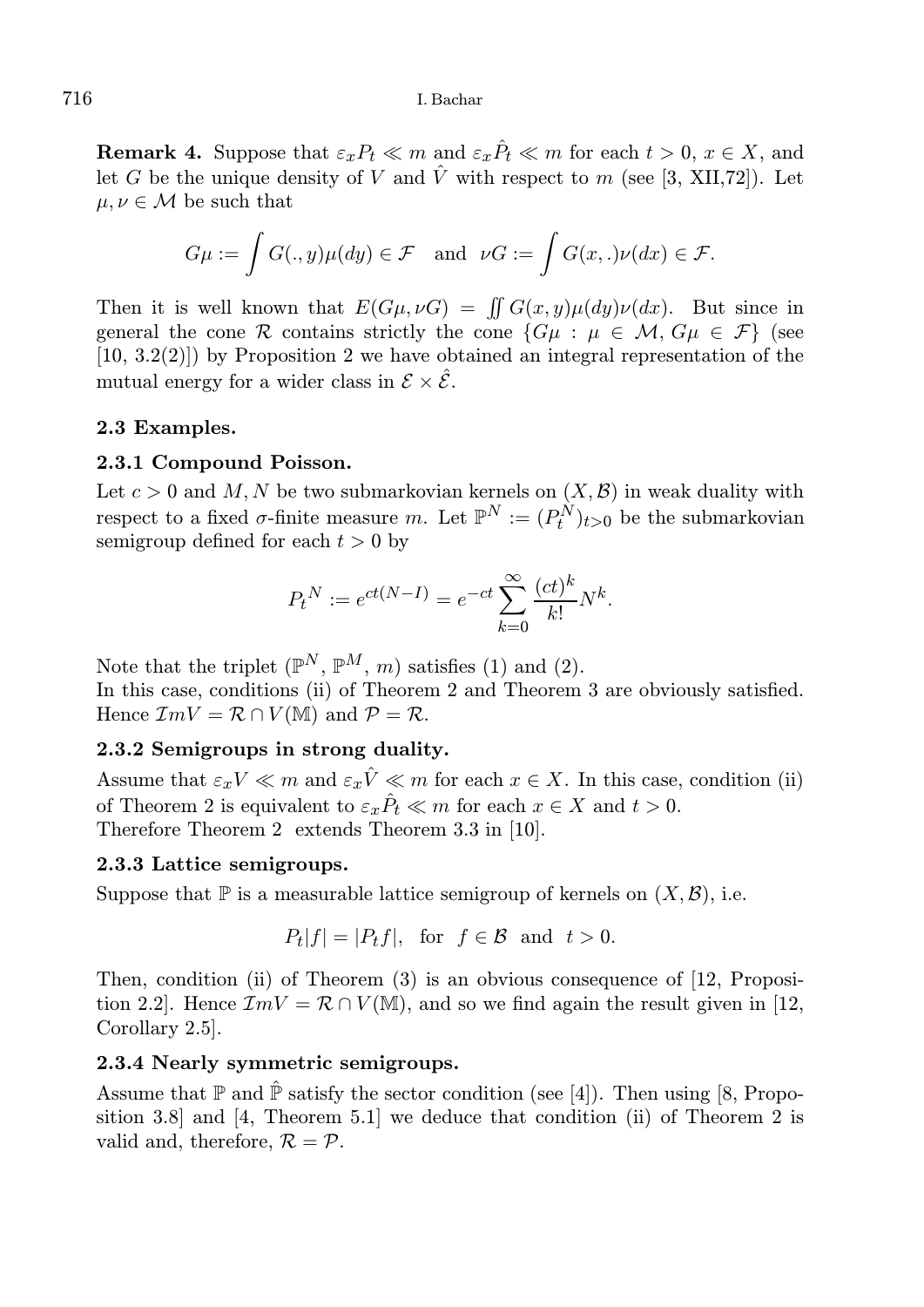**Remark 4.** Suppose that  $\varepsilon_x P_t \ll m$  and  $\varepsilon_x P_t \ll m$  for each  $t > 0, x \in X$ , and let G be the unique density of V and  $\hat{V}$  with respect to m (see [3, XII,72]). Let  $\mu, \nu \in \mathcal{M}$  be such that

$$
G\mu := \int G(.,y)\mu(dy) \in \mathcal{F} \quad \text{and} \quad \nu G := \int G(x,.)\nu(dx) \in \mathcal{F}.
$$

Then it is well known that  $E(G\mu, \nu G) = \iint G(x, y)\mu(dy)\nu(dx)$ . But since in general the cone R contains strictly the cone  $\{G\mu : \mu \in \mathcal{M}, G\mu \in \mathcal{F}\}\$  (see  $(10, 3.2(2))$  by Proposition 2 we have obtained an integral representation of the mutual energy for a wider class in  $\mathcal{E} \times \hat{\mathcal{E}}$ .

## 2.3 Examples.

## 2.3.1 Compound Poisson.

Let  $c > 0$  and M, N be two submarkovian kernels on  $(X, \mathcal{B})$  in weak duality with respect to a fixed  $\sigma$ -finite measure m. Let  $\mathbb{P}^N := (P_t^N)_{t>0}$  be the submarkovian semigroup defined for each  $t > 0$  by

$$
P_t^N := e^{ct(N-1)} = e^{-ct} \sum_{k=0}^{\infty} \frac{(ct)^k}{k!} N^k.
$$

Note that the triplet  $(\mathbb{P}^N, \mathbb{P}^M, m)$  satisfies (1) and (2). In this case, conditions (ii) of Theorem 2 and Theorem 3 are obviously satisfied. Hence  $\mathcal{I}mV = \mathcal{R} \cap V(\mathbb{M})$  and  $\mathcal{P} = \mathcal{R}$ .

## 2.3.2 Semigroups in strong duality.

Assume that  $\varepsilon_x V \ll m$  and  $\varepsilon_x \hat{V} \ll m$  for each  $x \in X$ . In this case, condition (ii) of Theorem 2 is equivalent to  $\varepsilon_x \hat{P}_t \ll m$  for each  $x \in X$  and  $t > 0$ . Therefore Theorem 2 extends Theorem 3.3 in [10].

## 2.3.3 Lattice semigroups.

Suppose that  $\mathbb P$  is a measurable lattice semigroup of kernels on  $(X, \mathcal{B})$ , i.e.

$$
P_t|f| = |P_tf|, \text{ for } f \in \mathcal{B} \text{ and } t > 0.
$$

Then, condition (ii) of Theorem (3) is an obvious consequence of [12, Proposition 2.2]. Hence  $\mathcal{I}mV = \mathcal{R} \cap V(\mathbb{M})$ , and so we find again the result given in [12, Corollary 2.5].

## 2.3.4 Nearly symmetric semigroups.

Assume that  $\mathbb P$  and  $\hat{\mathbb P}$  satisfy the sector condition (see [4]). Then using [8, Proposition 3.8] and [4, Theorem 5.1] we deduce that condition (ii) of Theorem 2 is valid and, therefore,  $\mathcal{R} = \mathcal{P}$ .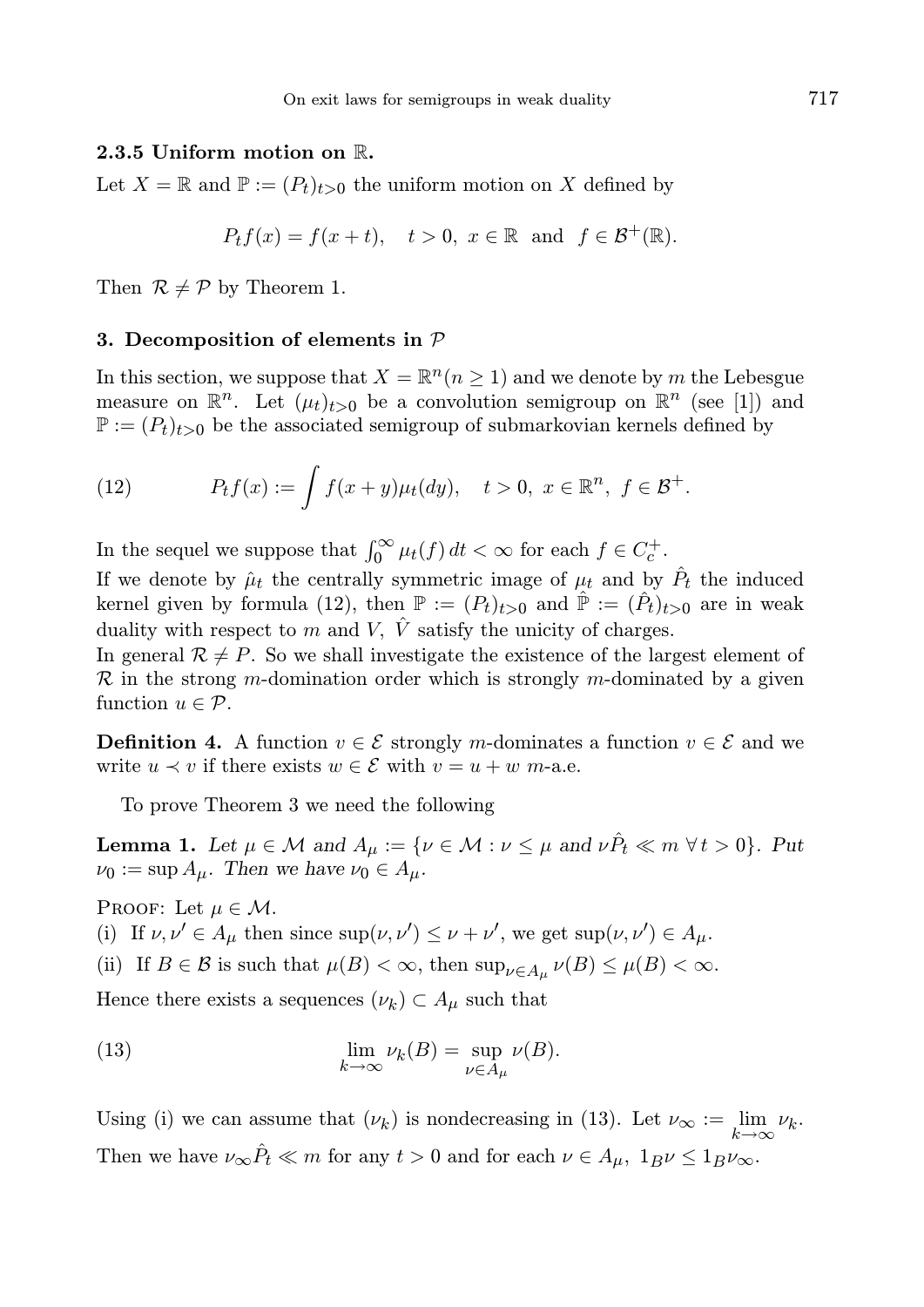### 2.3.5 Uniform motion on R.

Let  $X = \mathbb{R}$  and  $\mathbb{P} := (P_t)_{t>0}$  the uniform motion on X defined by

$$
P_t f(x) = f(x+t), \quad t > 0, \ x \in \mathbb{R} \text{ and } f \in \mathcal{B}^+(\mathbb{R}).
$$

Then  $\mathcal{R} \neq \mathcal{P}$  by Theorem 1.

### 3. Decomposition of elements in  $P$

In this section, we suppose that  $X = \mathbb{R}^n (n \ge 1)$  and we denote by m the Lebesgue measure on  $\mathbb{R}^n$ . Let  $(\mu_t)_{t>0}$  be a convolution semigroup on  $\mathbb{R}^n$  (see [1]) and  $\mathbb{P} := (P_t)_{t>0}$  be the associated semigroup of submarkovian kernels defined by

(12) 
$$
P_t f(x) := \int f(x + y) \mu_t(dy), \quad t > 0, \ x \in \mathbb{R}^n, \ f \in \mathcal{B}^+.
$$

In the sequel we suppose that  $\int_0^\infty \mu_t(f) dt < \infty$  for each  $f \in C_c^+$ .

If we denote by  $\hat{\mu}_t$  the centrally symmetric image of  $\mu_t$  and by  $\hat{P}_t$  the induced kernel given by formula (12), then  $\mathbb{P} := (P_t)_{t>0}$  and  $\hat{\mathbb{P}} := (\hat{P}_t)_{t>0}$  are in weak duality with respect to m and V,  $\hat{V}$  satisfy the unicity of charges.

In general  $\mathcal{R} \neq P$ . So we shall investigate the existence of the largest element of  $\mathcal R$  in the strong m-domination order which is strongly m-dominated by a given function  $u \in \mathcal{P}$ .

**Definition 4.** A function  $v \in \mathcal{E}$  strongly m-dominates a function  $v \in \mathcal{E}$  and we write  $u \prec v$  if there exists  $w \in \mathcal{E}$  with  $v = u + w$  m-a.e.

To prove Theorem 3 we need the following

**Lemma 1.** Let  $\mu \in \mathcal{M}$  and  $A_{\mu} := \{ \nu \in \mathcal{M} : \nu \leq \mu \text{ and } \nu \hat{P}_t \ll m \ \forall t > 0 \}.$  Put  $\nu_0 := \sup A_\mu$ . Then we have  $\nu_0 \in A_\mu$ .

PROOF: Let  $\mu \in \mathcal{M}$ .

(i) If  $\nu, \nu' \in A_\mu$  then since  $\sup(\nu, \nu') \leq \nu + \nu'$ , we get  $\sup(\nu, \nu') \in A_\mu$ .

(ii) If  $B \in \mathcal{B}$  is such that  $\mu(B) < \infty$ , then  $\sup_{\nu \in A_{\mu}} \nu(B) \leq \mu(B) < \infty$ .

Hence there exists a sequences  $(\nu_k) \subset A_{\mu}$  such that

(13) 
$$
\lim_{k \to \infty} \nu_k(B) = \sup_{\nu \in A_\mu} \nu(B).
$$

Using (i) we can assume that  $(\nu_k)$  is nondecreasing in (13). Let  $\nu_\infty := \lim_{k \to \infty} \nu_k$ . Then we have  $\nu_{\infty} \hat{P}_t \ll m$  for any  $t > 0$  and for each  $\nu \in A_{\mu}$ ,  $1_B \nu \leq 1_B \nu_{\infty}$ .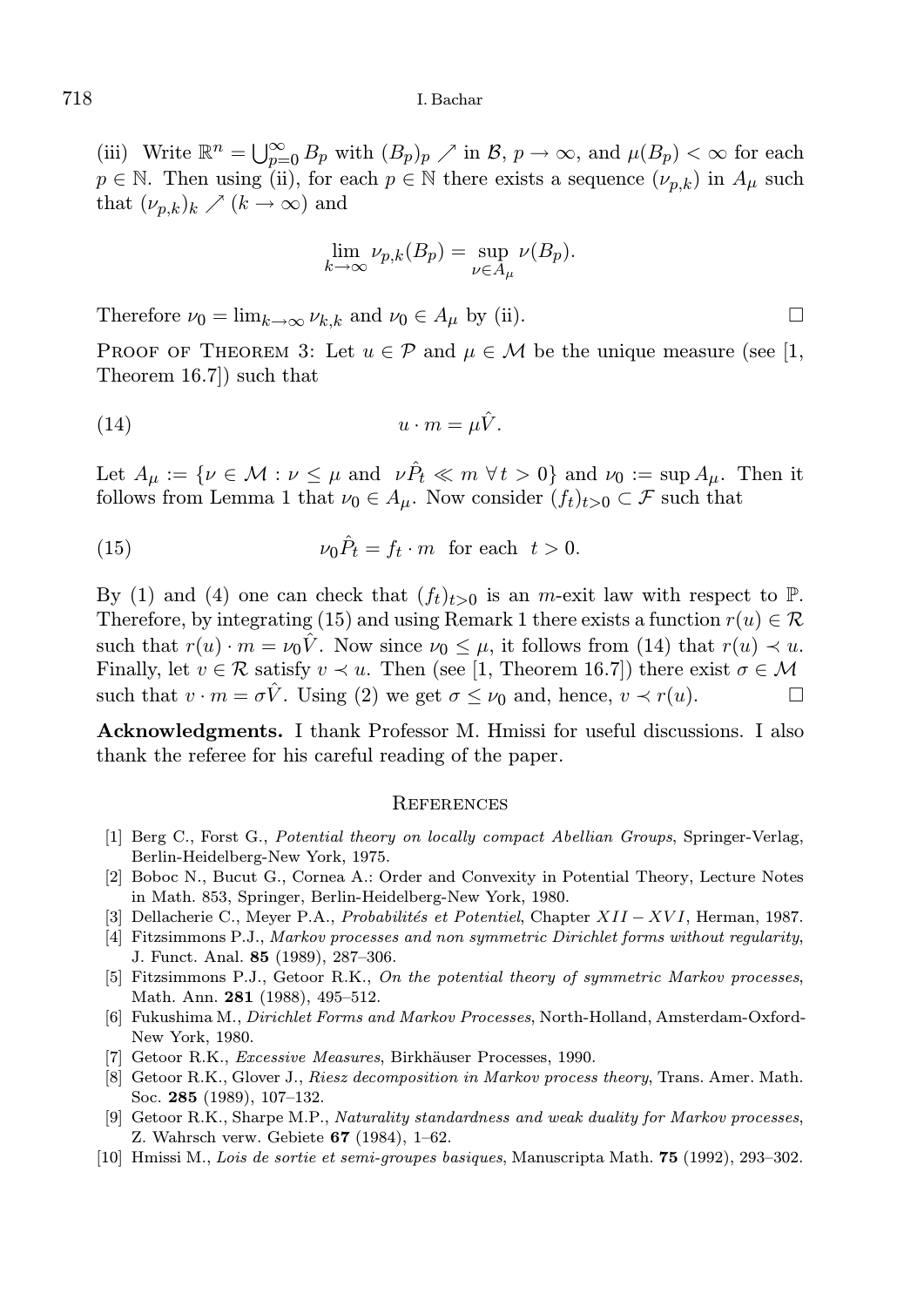(iii) Write  $\mathbb{R}^n = \bigcup_{p=0}^{\infty} B_p$  with  $(B_p)_p \nearrow$  in  $\mathcal{B}, p \to \infty$ , and  $\mu(B_p) < \infty$  for each  $p \in \mathbb{N}$ . Then using (ii), for each  $p \in \mathbb{N}$  there exists a sequence  $(\nu_{p,k})$  in  $A_{\mu}$  such that  $(\nu_{p,k})_k \nearrow (k \to \infty)$  and

$$
\lim_{k \to \infty} \nu_{p,k}(B_p) = \sup_{\nu \in A_{\mu}} \nu(B_p).
$$

Therefore  $\nu_0 = \lim_{k \to \infty} \nu_k$ , and  $\nu_0 \in A_\mu$  by (ii).

PROOF OF THEOREM 3: Let  $u \in \mathcal{P}$  and  $u \in \mathcal{M}$  be the unique measure (see [1, Theorem 16.7]) such that

$$
(14) \t\t\t u \cdot m = \mu \hat{V}.
$$

Let  $A_{\mu} := \{ \nu \in \mathcal{M} : \nu \leq \mu \text{ and } \nu \hat{P}_t \ll m \ \forall t > 0 \}$  and  $\nu_0 := \sup A_{\mu}$ . Then it follows from Lemma 1 that  $\nu_0 \in A_\mu$ . Now consider  $(f_t)_{t>0} \subset \mathcal{F}$  such that

(15) 
$$
\nu_0 \hat{P}_t = f_t \cdot m \text{ for each } t > 0.
$$

By (1) and (4) one can check that  $(f_t)_{t>0}$  is an m-exit law with respect to  $\mathbb{P}$ . Therefore, by integrating (15) and using Remark 1 there exists a function  $r(u) \in \mathcal{R}$ such that  $r(u) \cdot m = \nu_0 V$ . Now since  $\nu_0 \leq \mu$ , it follows from (14) that  $r(u) \prec u$ . Finally, let  $v \in \mathcal{R}$  satisfy  $v \prec u$ . Then (see [1, Theorem 16.7]) there exist  $\sigma \in \mathcal{M}$ such that  $v \cdot m = \sigma \hat{V}$ . Using (2) we get  $\sigma \leq \nu_0$  and, hence,  $v \prec r(u)$ .

Acknowledgments. I thank Professor M. Hmissi for useful discussions. I also thank the referee for his careful reading of the paper.

#### **REFERENCES**

- [1] Berg C., Forst G., Potential theory on locally compact Abellian Groups, Springer-Verlag, Berlin-Heidelberg-New York, 1975.
- [2] Boboc N., Bucut G., Cornea A.: Order and Convexity in Potential Theory, Lecture Notes in Math. 853, Springer, Berlin-Heidelberg-New York, 1980.
- [3] Dellacherie C., Meyer P.A., Probabilités et Potentiel, Chapter XII XVI, Herman, 1987.
- [4] Fitzsimmons P.J., Markov processes and non symmetric Dirichlet forms without regularity, J. Funct. Anal. 85 (1989), 287–306.
- [5] Fitzsimmons P.J., Getoor R.K., On the potential theory of symmetric Markov processes, Math. Ann. 281 (1988), 495–512.
- [6] Fukushima M., Dirichlet Forms and Markov Processes, North-Holland, Amsterdam-Oxford-New York, 1980.
- [7] Getoor R.K., *Excessive Measures*, Birkhäuser Processes, 1990.
- [8] Getoor R.K., Glover J., Riesz decomposition in Markov process theory, Trans. Amer. Math. Soc. 285 (1989), 107–132.
- [9] Getoor R.K., Sharpe M.P., Naturality standardness and weak duality for Markov processes, Z. Wahrsch verw. Gebiete 67 (1984), 1–62.
- [10] Hmissi M., Lois de sortie et semi-groupes basiques, Manuscripta Math. 75 (1992), 293–302.